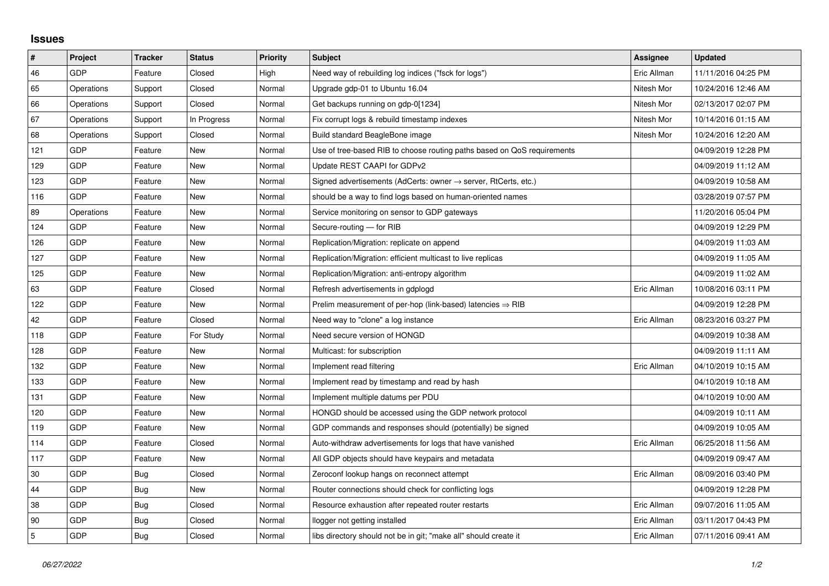## **Issues**

| $\vert$ #      | Project    | <b>Tracker</b> | <b>Status</b> | <b>Priority</b> | <b>Subject</b>                                                             | <b>Assignee</b> | <b>Updated</b>      |
|----------------|------------|----------------|---------------|-----------------|----------------------------------------------------------------------------|-----------------|---------------------|
| 46             | GDP        | Feature        | Closed        | High            | Need way of rebuilding log indices ("fsck for logs")                       | Eric Allman     | 11/11/2016 04:25 PM |
| 65             | Operations | Support        | Closed        | Normal          | Upgrade gdp-01 to Ubuntu 16.04                                             | Nitesh Mor      | 10/24/2016 12:46 AM |
| 66             | Operations | Support        | Closed        | Normal          | Get backups running on gdp-0[1234]                                         | Nitesh Mor      | 02/13/2017 02:07 PM |
| 67             | Operations | Support        | In Progress   | Normal          | Fix corrupt logs & rebuild timestamp indexes                               | Nitesh Mor      | 10/14/2016 01:15 AM |
| 68             | Operations | Support        | Closed        | Normal          | Build standard BeagleBone image                                            | Nitesh Mor      | 10/24/2016 12:20 AM |
| 121            | GDP        | Feature        | New           | Normal          | Use of tree-based RIB to choose routing paths based on QoS requirements    |                 | 04/09/2019 12:28 PM |
| 129            | GDP        | Feature        | New           | Normal          | Update REST CAAPI for GDPv2                                                |                 | 04/09/2019 11:12 AM |
| 123            | GDP        | Feature        | New           | Normal          | Signed advertisements (AdCerts: owner $\rightarrow$ server, RtCerts, etc.) |                 | 04/09/2019 10:58 AM |
| 116            | GDP        | Feature        | New           | Normal          | should be a way to find logs based on human-oriented names                 |                 | 03/28/2019 07:57 PM |
| 89             | Operations | Feature        | New           | Normal          | Service monitoring on sensor to GDP gateways                               |                 | 11/20/2016 05:04 PM |
| 124            | GDP        | Feature        | New           | Normal          | Secure-routing - for RIB                                                   |                 | 04/09/2019 12:29 PM |
| 126            | GDP        | Feature        | New           | Normal          | Replication/Migration: replicate on append                                 |                 | 04/09/2019 11:03 AM |
| 127            | GDP        | Feature        | New           | Normal          | Replication/Migration: efficient multicast to live replicas                |                 | 04/09/2019 11:05 AM |
| 125            | GDP        | Feature        | New           | Normal          | Replication/Migration: anti-entropy algorithm                              |                 | 04/09/2019 11:02 AM |
| 63             | GDP        | Feature        | Closed        | Normal          | Refresh advertisements in gdplogd                                          | Eric Allman     | 10/08/2016 03:11 PM |
| 122            | GDP        | Feature        | New           | Normal          | Prelim measurement of per-hop (link-based) latencies $\Rightarrow$ RIB     |                 | 04/09/2019 12:28 PM |
| 42             | GDP        | Feature        | Closed        | Normal          | Need way to "clone" a log instance                                         | Eric Allman     | 08/23/2016 03:27 PM |
| 118            | GDP        | Feature        | For Study     | Normal          | Need secure version of HONGD                                               |                 | 04/09/2019 10:38 AM |
| 128            | GDP        | Feature        | New           | Normal          | Multicast: for subscription                                                |                 | 04/09/2019 11:11 AM |
| 132            | GDP        | Feature        | New           | Normal          | Implement read filtering                                                   | Eric Allman     | 04/10/2019 10:15 AM |
| 133            | GDP        | Feature        | New           | Normal          | Implement read by timestamp and read by hash                               |                 | 04/10/2019 10:18 AM |
| 131            | GDP        | Feature        | New           | Normal          | Implement multiple datums per PDU                                          |                 | 04/10/2019 10:00 AM |
| 120            | GDP        | Feature        | New           | Normal          | HONGD should be accessed using the GDP network protocol                    |                 | 04/09/2019 10:11 AM |
| 119            | GDP        | Feature        | New           | Normal          | GDP commands and responses should (potentially) be signed                  |                 | 04/09/2019 10:05 AM |
| 114            | GDP        | Feature        | Closed        | Normal          | Auto-withdraw advertisements for logs that have vanished                   | Eric Allman     | 06/25/2018 11:56 AM |
| 117            | GDP        | Feature        | New           | Normal          | All GDP objects should have keypairs and metadata                          |                 | 04/09/2019 09:47 AM |
| $30\,$         | GDP        | Bug            | Closed        | Normal          | Zeroconf lookup hangs on reconnect attempt                                 | Eric Allman     | 08/09/2016 03:40 PM |
| 44             | GDP        | Bug            | New           | Normal          | Router connections should check for conflicting logs                       |                 | 04/09/2019 12:28 PM |
| 38             | GDP        | Bug            | Closed        | Normal          | Resource exhaustion after repeated router restarts                         | Eric Allman     | 09/07/2016 11:05 AM |
| 90             | GDP        | Bug            | Closed        | Normal          | llogger not getting installed                                              | Eric Allman     | 03/11/2017 04:43 PM |
| $\overline{5}$ | GDP        | Bug            | Closed        | Normal          | libs directory should not be in git; "make all" should create it           | Eric Allman     | 07/11/2016 09:41 AM |